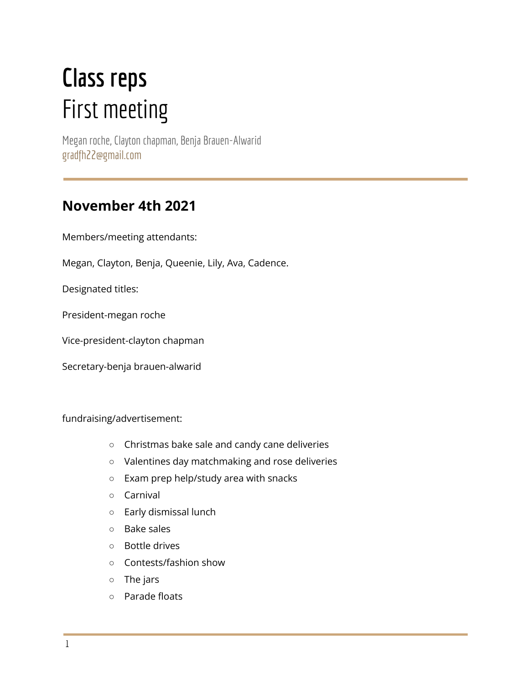# **Class reps** First meeting

Megan roche, Clayton chapman, Benja Brauen-Alwarid gradfh22@gmail.com

## **November 4th 2021**

Members/meeting attendants:

Megan, Clayton, Benja, Queenie, Lily, Ava, Cadence.

Designated titles:

President-megan roche

Vice-president-clayton chapman

Secretary-benja brauen-alwarid

fundraising/advertisement:

- Christmas bake sale and candy cane deliveries
- Valentines day matchmaking and rose deliveries
- Exam prep help/study area with snacks
- Carnival
- Early dismissal lunch
- Bake sales
- Bottle drives
- Contests/fashion show
- The jars
- Parade floats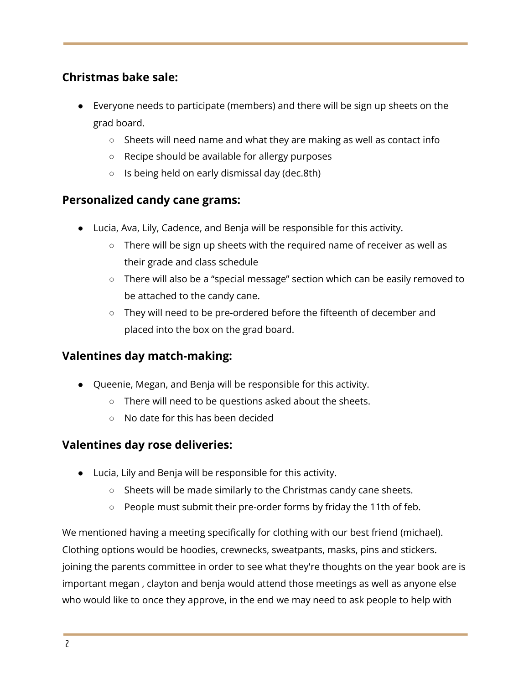### **Christmas bake sale:**

- Everyone needs to participate (members) and there will be sign up sheets on the grad board.
	- Sheets will need name and what they are making as well as contact info
	- Recipe should be available for allergy purposes
	- Is being held on early dismissal day (dec.8th)

#### **Personalized candy cane grams:**

- Lucia, Ava, Lily, Cadence, and Benja will be responsible for this activity.
	- There will be sign up sheets with the required name of receiver as well as their grade and class schedule
	- There will also be a "special message" section which can be easily removed to be attached to the candy cane.
	- They will need to be pre-ordered before the fifteenth of december and placed into the box on the grad board.

#### **Valentines day match-making:**

- Queenie, Megan, and Benja will be responsible for this activity.
	- There will need to be questions asked about the sheets.
	- No date for this has been decided

#### **Valentines day rose deliveries:**

- Lucia, Lily and Benja will be responsible for this activity.
	- Sheets will be made similarly to the Christmas candy cane sheets.
	- People must submit their pre-order forms by friday the 11th of feb.

We mentioned having a meeting specifically for clothing with our best friend (michael). Clothing options would be hoodies, crewnecks, sweatpants, masks, pins and stickers. joining the parents committee in order to see what they're thoughts on the year book are is important megan , clayton and benja would attend those meetings as well as anyone else who would like to once they approve, in the end we may need to ask people to help with